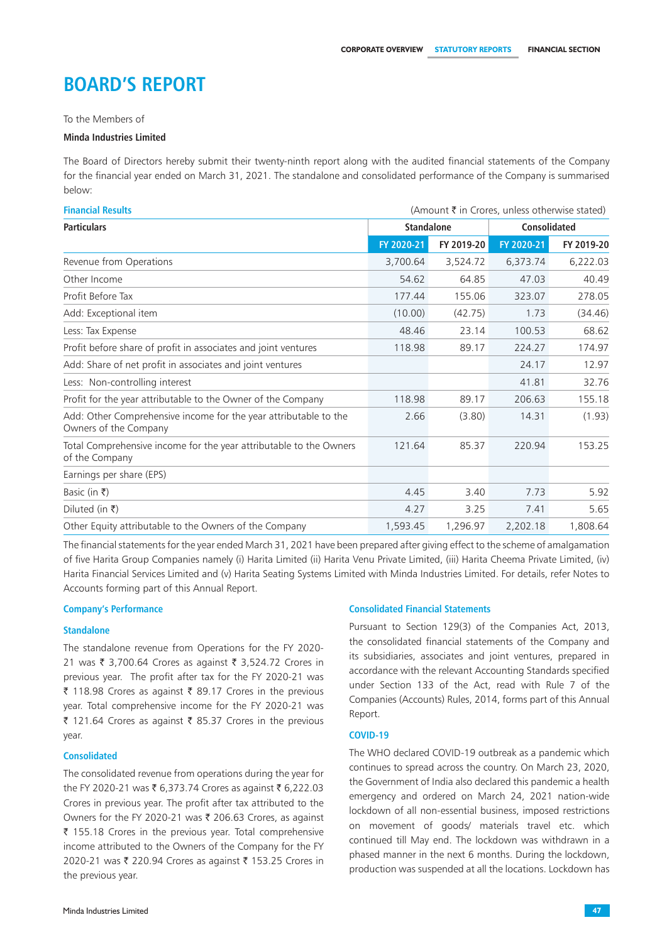# **Board's Report**

To the Members of

#### **Minda Industries Limited**

The Board of Directors hereby submit their twenty-ninth report along with the audited financial statements of the Company for the financial year ended on March 31, 2021. The standalone and consolidated performance of the Company is summarised below:

| <b>Financial Results</b>                                                                  | (Amount ₹ in Crores, unless otherwise stated) |            |                     |            |
|-------------------------------------------------------------------------------------------|-----------------------------------------------|------------|---------------------|------------|
| <b>Particulars</b>                                                                        | <b>Standalone</b>                             |            | <b>Consolidated</b> |            |
|                                                                                           | FY 2020-21                                    | FY 2019-20 | FY 2020-21          | FY 2019-20 |
| Revenue from Operations                                                                   | 3,700.64                                      | 3,524.72   | 6,373.74            | 6,222.03   |
| Other Income                                                                              | 54.62                                         | 64.85      | 47.03               | 40.49      |
| Profit Before Tax                                                                         | 177.44                                        | 155.06     | 323.07              | 278.05     |
| Add: Exceptional item                                                                     | (10.00)                                       | (42.75)    | 1.73                | (34.46)    |
| Less: Tax Expense                                                                         | 48.46                                         | 23.14      | 100.53              | 68.62      |
| Profit before share of profit in associates and joint ventures                            | 118.98                                        | 89.17      | 224.27              | 174.97     |
| Add: Share of net profit in associates and joint ventures                                 |                                               |            | 24.17               | 12.97      |
| Less: Non-controlling interest                                                            |                                               |            | 41.81               | 32.76      |
| Profit for the year attributable to the Owner of the Company                              | 118.98                                        | 89.17      | 206.63              | 155.18     |
| Add: Other Comprehensive income for the year attributable to the<br>Owners of the Company | 2.66                                          | (3.80)     | 14.31               | (1.93)     |
| Total Comprehensive income for the year attributable to the Owners<br>of the Company      | 121.64                                        | 85.37      | 220.94              | 153.25     |
| Earnings per share (EPS)                                                                  |                                               |            |                     |            |
| Basic (in ₹)                                                                              | 4.45                                          | 3.40       | 7.73                | 5.92       |
| Diluted (in ₹)                                                                            | 4.27                                          | 3.25       | 7.41                | 5.65       |
| Other Equity attributable to the Owners of the Company                                    | 1,593.45                                      | 1,296.97   | 2,202.18            | 1,808.64   |

The financial statements for the year ended March 31, 2021 have been prepared after giving effect to the scheme of amalgamation of five Harita Group Companies namely (i) Harita Limited (ii) Harita Venu Private Limited, (iii) Harita Cheema Private Limited, (iv) Harita Financial Services Limited and (v) Harita Seating Systems Limited with Minda Industries Limited. For details, refer Notes to Accounts forming part of this Annual Report.

# **Company's Performance**

# **Standalone**

The standalone revenue from Operations for the FY 2020- 21 was ₹ 3,700.64 Crores as against ₹ 3,524.72 Crores in previous year. The profit after tax for the FY 2020-21 was ₹ 118.98 Crores as against ₹ 89.17 Crores in the previous year. Total comprehensive income for the FY 2020-21 was ₹ 121.64 Crores as against ₹ 85.37 Crores in the previous year.

### **Consolidated**

The consolidated revenue from operations during the year for the FY 2020-21 was ₹ 6,373.74 Crores as against ₹ 6,222.03 Crores in previous year. The profit after tax attributed to the Owners for the FY 2020-21 was ₹ 206.63 Crores, as against ` 155.18 Crores in the previous year. Total comprehensive income attributed to the Owners of the Company for the FY 2020-21 was ₹ 220.94 Crores as against ₹ 153.25 Crores in the previous year.

## **Consolidated Financial Statements**

Pursuant to Section 129(3) of the Companies Act, 2013, the consolidated financial statements of the Company and its subsidiaries, associates and joint ventures, prepared in accordance with the relevant Accounting Standards specified under Section 133 of the Act, read with Rule 7 of the Companies (Accounts) Rules, 2014, forms part of this Annual Report.

#### **COVID-19**

The WHO declared COVID-19 outbreak as a pandemic which continues to spread across the country. On March 23, 2020, the Government of India also declared this pandemic a health emergency and ordered on March 24, 2021 nation-wide lockdown of all non-essential business, imposed restrictions on movement of goods/ materials travel etc. which continued till May end. The lockdown was withdrawn in a phased manner in the next 6 months. During the lockdown, production was suspended at all the locations. Lockdown has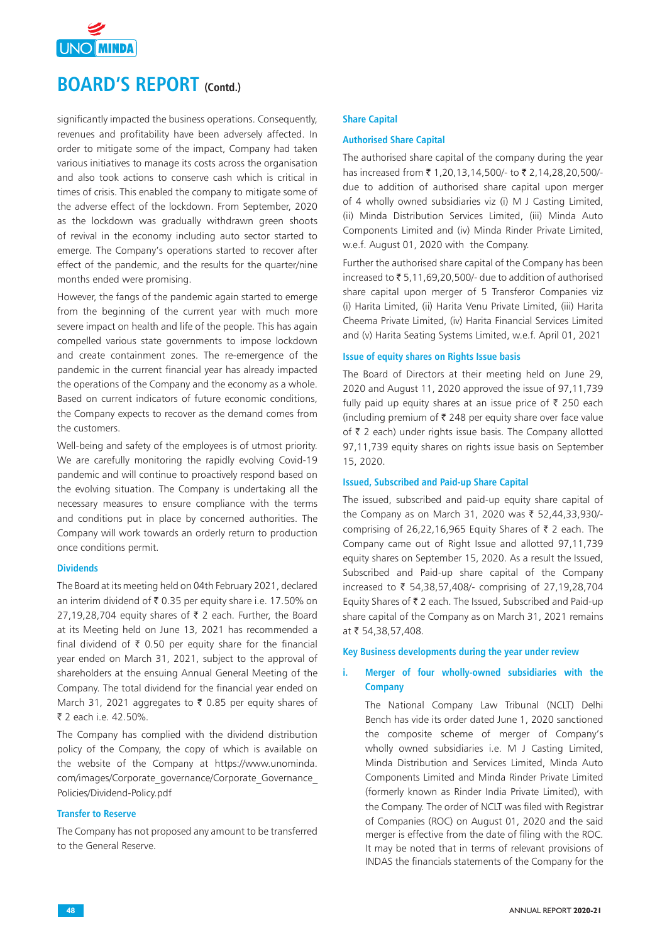

significantly impacted the business operations. Consequently, revenues and profitability have been adversely affected. In order to mitigate some of the impact, Company had taken various initiatives to manage its costs across the organisation and also took actions to conserve cash which is critical in times of crisis. This enabled the company to mitigate some of the adverse effect of the lockdown. From September, 2020 as the lockdown was gradually withdrawn green shoots of revival in the economy including auto sector started to emerge. The Company's operations started to recover after effect of the pandemic, and the results for the quarter/nine months ended were promising.

However, the fangs of the pandemic again started to emerge from the beginning of the current year with much more severe impact on health and life of the people. This has again compelled various state governments to impose lockdown and create containment zones. The re-emergence of the pandemic in the current financial year has already impacted the operations of the Company and the economy as a whole. Based on current indicators of future economic conditions, the Company expects to recover as the demand comes from the customers.

Well-being and safety of the employees is of utmost priority. We are carefully monitoring the rapidly evolving Covid-19 pandemic and will continue to proactively respond based on the evolving situation. The Company is undertaking all the necessary measures to ensure compliance with the terms and conditions put in place by concerned authorities. The Company will work towards an orderly return to production once conditions permit.

# **Dividends**

The Board at its meeting held on 04th February 2021, declared an interim dividend of  $\bar{\tau}$  0.35 per equity share i.e. 17.50% on 27,19,28,704 equity shares of  $\bar{\tau}$  2 each. Further, the Board at its Meeting held on June 13, 2021 has recommended a final dividend of  $\bar{\tau}$  0.50 per equity share for the financial year ended on March 31, 2021, subject to the approval of shareholders at the ensuing Annual General Meeting of the Company. The total dividend for the financial year ended on March 31, 2021 aggregates to  $\bar{\tau}$  0.85 per equity shares of ₹ 2 each i.e. 42.50%.

The Company has complied with the dividend distribution policy of the Company, the copy of which is available on the website of the Company at https://www.unominda. com/images/Corporate\_governance/Corporate\_Governance\_ Policies/Dividend-Policy.pdf

# **Transfer to Reserve**

The Company has not proposed any amount to be transferred to the General Reserve.

#### **Share Capital**

#### **Authorised Share Capital**

The authorised share capital of the company during the year has increased from ₹1,20,13,14,500/- to ₹2,14,28,20,500/due to addition of authorised share capital upon merger of 4 wholly owned subsidiaries viz (i) M J Casting Limited, (ii) Minda Distribution Services Limited, (iii) Minda Auto Components Limited and (iv) Minda Rinder Private Limited, w.e.f. August 01, 2020 with the Company.

Further the authorised share capital of the Company has been increased to  $\bar{z}$  5,11,69,20,500/- due to addition of authorised share capital upon merger of 5 Transferor Companies viz (i) Harita Limited, (ii) Harita Venu Private Limited, (iii) Harita Cheema Private Limited, (iv) Harita Financial Services Limited and (v) Harita Seating Systems Limited, w.e.f. April 01, 2021

#### **Issue of equity shares on Rights Issue basis**

The Board of Directors at their meeting held on June 29, 2020 and August 11, 2020 approved the issue of 97,11,739 fully paid up equity shares at an issue price of  $\bar{\tau}$  250 each (including premium of  $\bar{\tau}$  248 per equity share over face value of  $\bar{\tau}$  2 each) under rights issue basis. The Company allotted 97,11,739 equity shares on rights issue basis on September 15, 2020.

#### **Issued, Subscribed and Paid-up Share Capital**

The issued, subscribed and paid-up equity share capital of the Company as on March 31, 2020 was  $\bar{\tau}$  52,44,33,930/comprising of 26,22,16,965 Equity Shares of  $\bar{z}$  2 each. The Company came out of Right Issue and allotted 97,11,739 equity shares on September 15, 2020. As a result the Issued, Subscribed and Paid-up share capital of the Company increased to  $\bar{\tau}$  54,38,57,408/- comprising of 27,19,28,704 Equity Shares of  $\bar{\tau}$  2 each. The Issued, Subscribed and Paid-up share capital of the Company as on March 31, 2021 remains at ₹ 54,38,57,408.

#### **Key Business developments during the year under review**

# **i. Merger of four wholly-owned subsidiaries with the Company**

The National Company Law Tribunal (NCLT) Delhi Bench has vide its order dated June 1, 2020 sanctioned the composite scheme of merger of Company's wholly owned subsidiaries i.e. M J Casting Limited, Minda Distribution and Services Limited, Minda Auto Components Limited and Minda Rinder Private Limited (formerly known as Rinder India Private Limited), with the Company. The order of NCLT was filed with Registrar of Companies (ROC) on August 01, 2020 and the said merger is effective from the date of filing with the ROC. It may be noted that in terms of relevant provisions of INDAS the financials statements of the Company for the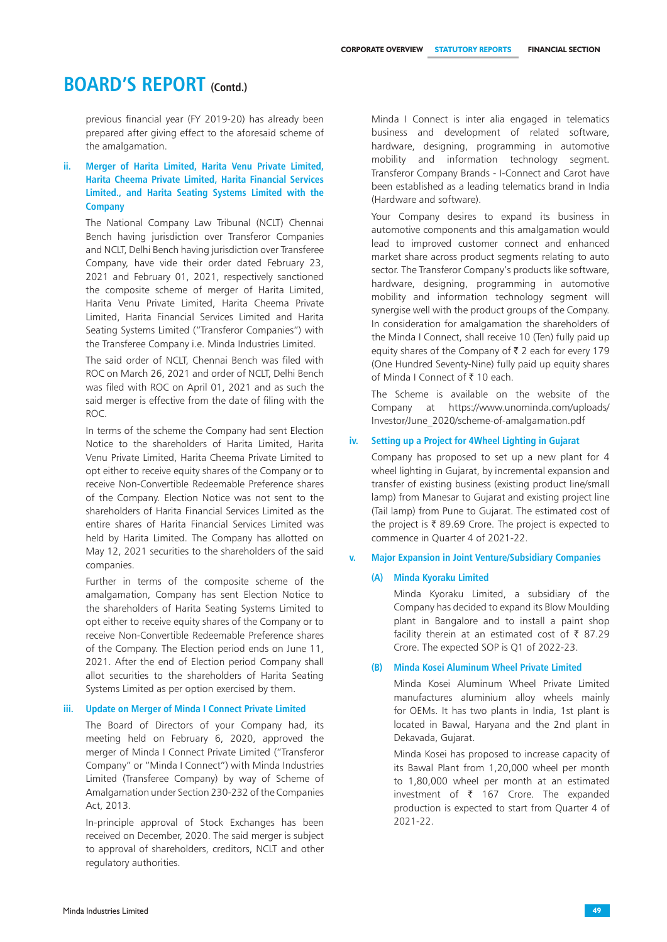previous financial year (FY 2019-20) has already been prepared after giving effect to the aforesaid scheme of the amalgamation.

# **ii. Merger of Harita Limited, Harita Venu Private Limited, Harita Cheema Private Limited, Harita Financial Services Limited., and Harita Seating Systems Limited with the Company**

The National Company Law Tribunal (NCLT) Chennai Bench having jurisdiction over Transferor Companies and NCLT, Delhi Bench having jurisdiction over Transferee Company, have vide their order dated February 23, 2021 and February 01, 2021, respectively sanctioned the composite scheme of merger of Harita Limited, Harita Venu Private Limited, Harita Cheema Private Limited, Harita Financial Services Limited and Harita Seating Systems Limited ("Transferor Companies") with the Transferee Company i.e. Minda Industries Limited.

The said order of NCLT, Chennai Bench was filed with ROC on March 26, 2021 and order of NCLT, Delhi Bench was filed with ROC on April 01, 2021 and as such the said merger is effective from the date of filing with the ROC.

In terms of the scheme the Company had sent Election Notice to the shareholders of Harita Limited, Harita Venu Private Limited, Harita Cheema Private Limited to opt either to receive equity shares of the Company or to receive Non-Convertible Redeemable Preference shares of the Company. Election Notice was not sent to the shareholders of Harita Financial Services Limited as the entire shares of Harita Financial Services Limited was held by Harita Limited. The Company has allotted on May 12, 2021 securities to the shareholders of the said companies.

Further in terms of the composite scheme of the amalgamation, Company has sent Election Notice to the shareholders of Harita Seating Systems Limited to opt either to receive equity shares of the Company or to receive Non-Convertible Redeemable Preference shares of the Company. The Election period ends on June 11, 2021. After the end of Election period Company shall allot securities to the shareholders of Harita Seating Systems Limited as per option exercised by them.

#### **iii. Update on Merger of Minda I Connect Private Limited**

The Board of Directors of your Company had, its meeting held on February 6, 2020, approved the merger of Minda I Connect Private Limited ("Transferor Company" or "Minda I Connect") with Minda Industries Limited (Transferee Company) by way of Scheme of Amalgamation under Section 230-232 of the Companies Act, 2013.

In-principle approval of Stock Exchanges has been received on December, 2020. The said merger is subject to approval of shareholders, creditors, NCLT and other regulatory authorities.

Minda I Connect is inter alia engaged in telematics business and development of related software, hardware, designing, programming in automotive mobility and information technology segment. Transferor Company Brands - I-Connect and Carot have been established as a leading telematics brand in India (Hardware and software).

Your Company desires to expand its business in automotive components and this amalgamation would lead to improved customer connect and enhanced market share across product segments relating to auto sector. The Transferor Company's products like software, hardware, designing, programming in automotive mobility and information technology segment will synergise well with the product groups of the Company. In consideration for amalgamation the shareholders of the Minda I Connect, shall receive 10 (Ten) fully paid up equity shares of the Company of  $\bar{\tau}$  2 each for every 179 (One Hundred Seventy-Nine) fully paid up equity shares of Minda I Connect of  $\bar{x}$  10 each.

The Scheme is available on the website of the Company at https://www.unominda.com/uploads/ Investor/June\_2020/scheme-of-amalgamation.pdf

#### **iv. Setting up a Project for 4Wheel Lighting in Gujarat**

Company has proposed to set up a new plant for 4 wheel lighting in Gujarat, by incremental expansion and transfer of existing business (existing product line/small lamp) from Manesar to Gujarat and existing project line (Tail lamp) from Pune to Gujarat. The estimated cost of the project is  $\bar{\tau}$  89.69 Crore. The project is expected to commence in Quarter 4 of 2021-22.

#### **v. Major Expansion in Joint Venture/Subsidiary Companies**

#### **(A) Minda Kyoraku Limited**

Minda Kyoraku Limited, a subsidiary of the Company has decided to expand its Blow Moulding plant in Bangalore and to install a paint shop facility therein at an estimated cost of  $\bar{\tau}$  87.29 Crore. The expected SOP is Q1 of 2022-23.

### **(B) Minda Kosei Aluminum Wheel Private Limited**

 Minda Kosei Aluminum Wheel Private Limited manufactures aluminium alloy wheels mainly for OEMs. It has two plants in India, 1st plant is located in Bawal, Haryana and the 2nd plant in Dekavada, Gujarat.

 Minda Kosei has proposed to increase capacity of its Bawal Plant from 1,20,000 wheel per month to 1,80,000 wheel per month at an estimated investment of  $\bar{\tau}$  167 Crore. The expanded production is expected to start from Quarter 4 of 2021-22.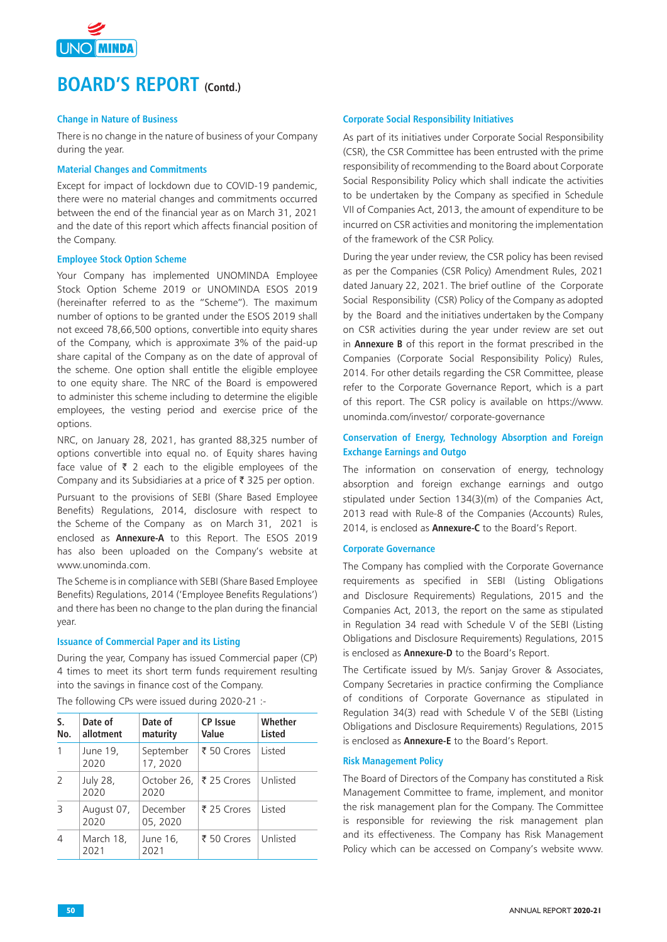

# **Change in Nature of Business**

There is no change in the nature of business of your Company during the year.

## **Material Changes and Commitments**

Except for impact of lockdown due to COVID-19 pandemic, there were no material changes and commitments occurred between the end of the financial year as on March 31, 2021 and the date of this report which affects financial position of the Company.

# **Employee Stock Option Scheme**

Your Company has implemented UNOMINDA Employee Stock Option Scheme 2019 or UNOMINDA ESOS 2019 (hereinafter referred to as the "Scheme"). The maximum number of options to be granted under the ESOS 2019 shall not exceed 78,66,500 options, convertible into equity shares of the Company, which is approximate 3% of the paid-up share capital of the Company as on the date of approval of the scheme. One option shall entitle the eligible employee to one equity share. The NRC of the Board is empowered to administer this scheme including to determine the eligible employees, the vesting period and exercise price of the options.

NRC, on January 28, 2021, has granted 88,325 number of options convertible into equal no. of Equity shares having face value of  $\bar{\tau}$  2 each to the eligible employees of the Company and its Subsidiaries at a price of  $\bar{\tau}$  325 per option.

Pursuant to the provisions of SEBI (Share Based Employee Benefits) Regulations, 2014, disclosure with respect to the Scheme of the Company as on March 31, 2021 is enclosed as **Annexure-A** to this Report. The ESOS 2019 has also been uploaded on the Company's website at www.unominda.com.

The Scheme is in compliance with SEBI (Share Based Employee Benefits) Regulations, 2014 ('Employee Benefits Regulations') and there has been no change to the plan during the financial year.

# **Issuance of Commercial Paper and its Listing**

During the year, Company has issued Commercial paper (CP) 4 times to meet its short term funds requirement resulting into the savings in finance cost of the Company.

The following CPs were issued during 2020-21 :-

| S.<br>No. | Date of<br>allotment | Date of<br>maturity   | <b>CP Issue</b><br>Value | Whether<br><b>Listed</b> |
|-----------|----------------------|-----------------------|--------------------------|--------------------------|
| 1         | June 19,<br>2020     | September<br>17, 2020 | ₹ 50 Crores              | <b>Listed</b>            |
| 2         | July 28,<br>2020     | 2020                  | October 26,  ₹ 25 Crores | Unlisted                 |
| 3         | August 07,<br>2020   | December<br>05, 2020  | ₹ 25 Crores              | <b>Listed</b>            |
| 4         | March 18,<br>2021    | June 16,<br>2021      | ₹ 50 Crores              | Unlisted                 |

# **Corporate Social Responsibility Initiatives**

As part of its initiatives under Corporate Social Responsibility (CSR), the CSR Committee has been entrusted with the prime responsibility of recommending to the Board about Corporate Social Responsibility Policy which shall indicate the activities to be undertaken by the Company as specified in Schedule VII of Companies Act, 2013, the amount of expenditure to be incurred on CSR activities and monitoring the implementation of the framework of the CSR Policy.

During the year under review, the CSR policy has been revised as per the Companies (CSR Policy) Amendment Rules, 2021 dated January 22, 2021. The brief outline of the Corporate Social Responsibility (CSR) Policy of the Company as adopted by the Board and the initiatives undertaken by the Company on CSR activities during the year under review are set out in **Annexure B** of this report in the format prescribed in the Companies (Corporate Social Responsibility Policy) Rules, 2014. For other details regarding the CSR Committee, please refer to the Corporate Governance Report, which is a part of this report. The CSR policy is available on https://www. unominda.com/investor/ corporate-governance

# **Conservation of Energy, Technology Absorption and Foreign Exchange Earnings and Outgo**

The information on conservation of energy, technology absorption and foreign exchange earnings and outgo stipulated under Section 134(3)(m) of the Companies Act, 2013 read with Rule-8 of the Companies (Accounts) Rules, 2014, is enclosed as **Annexure-C** to the Board's Report.

### **Corporate Governance**

The Company has complied with the Corporate Governance requirements as specified in SEBI (Listing Obligations and Disclosure Requirements) Regulations, 2015 and the Companies Act, 2013, the report on the same as stipulated in Regulation 34 read with Schedule V of the SEBI (Listing Obligations and Disclosure Requirements) Regulations, 2015 is enclosed as **Annexure-D** to the Board's Report.

The Certificate issued by M/s. Sanjay Grover & Associates, Company Secretaries in practice confirming the Compliance of conditions of Corporate Governance as stipulated in Regulation 34(3) read with Schedule V of the SEBI (Listing Obligations and Disclosure Requirements) Regulations, 2015 is enclosed as **Annexure-E** to the Board's Report.

### **Risk Management Policy**

The Board of Directors of the Company has constituted a Risk Management Committee to frame, implement, and monitor the risk management plan for the Company. The Committee is responsible for reviewing the risk management plan and its effectiveness. The Company has Risk Management Policy which can be accessed on Company's website www.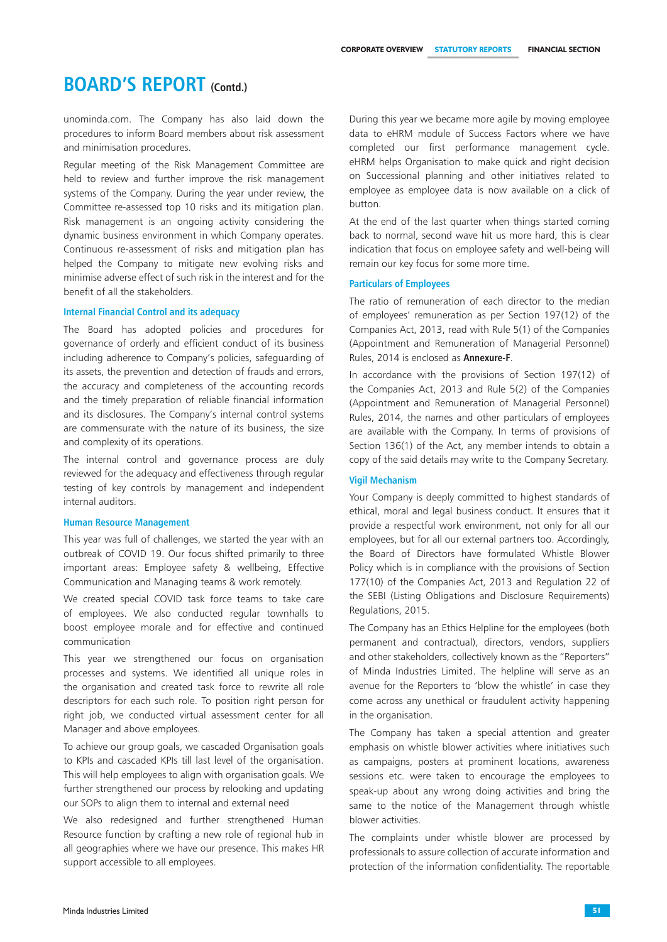unominda.com. The Company has also laid down the procedures to inform Board members about risk assessment and minimisation procedures.

Regular meeting of the Risk Management Committee are held to review and further improve the risk management systems of the Company. During the year under review, the Committee re-assessed top 10 risks and its mitigation plan. Risk management is an ongoing activity considering the dynamic business environment in which Company operates. Continuous re-assessment of risks and mitigation plan has helped the Company to mitigate new evolving risks and minimise adverse effect of such risk in the interest and for the benefit of all the stakeholders.

### **Internal Financial Control and its adequacy**

The Board has adopted policies and procedures for governance of orderly and efficient conduct of its business including adherence to Company's policies, safeguarding of its assets, the prevention and detection of frauds and errors, the accuracy and completeness of the accounting records and the timely preparation of reliable financial information and its disclosures. The Company's internal control systems are commensurate with the nature of its business, the size and complexity of its operations.

The internal control and governance process are duly reviewed for the adequacy and effectiveness through regular testing of key controls by management and independent internal auditors.

## **Human Resource Management**

This year was full of challenges, we started the year with an outbreak of COVID 19. Our focus shifted primarily to three important areas: Employee safety & wellbeing, Effective Communication and Managing teams & work remotely.

We created special COVID task force teams to take care of employees. We also conducted regular townhalls to boost employee morale and for effective and continued communication

This year we strengthened our focus on organisation processes and systems. We identified all unique roles in the organisation and created task force to rewrite all role descriptors for each such role. To position right person for right job, we conducted virtual assessment center for all Manager and above employees.

To achieve our group goals, we cascaded Organisation goals to KPIs and cascaded KPIs till last level of the organisation. This will help employees to align with organisation goals. We further strengthened our process by relooking and updating our SOPs to align them to internal and external need

We also redesigned and further strengthened Human Resource function by crafting a new role of regional hub in all geographies where we have our presence. This makes HR support accessible to all employees.

During this year we became more agile by moving employee data to eHRM module of Success Factors where we have completed our first performance management cycle. eHRM helps Organisation to make quick and right decision on Successional planning and other initiatives related to employee as employee data is now available on a click of button.

At the end of the last quarter when things started coming back to normal, second wave hit us more hard, this is clear indication that focus on employee safety and well-being will remain our key focus for some more time.

#### **Particulars of Employees**

The ratio of remuneration of each director to the median of employees' remuneration as per Section 197(12) of the Companies Act, 2013, read with Rule 5(1) of the Companies (Appointment and Remuneration of Managerial Personnel) Rules, 2014 is enclosed as **Annexure-F**.

In accordance with the provisions of Section 197(12) of the Companies Act, 2013 and Rule 5(2) of the Companies (Appointment and Remuneration of Managerial Personnel) Rules, 2014, the names and other particulars of employees are available with the Company. In terms of provisions of Section 136(1) of the Act, any member intends to obtain a copy of the said details may write to the Company Secretary.

#### **Vigil Mechanism**

Your Company is deeply committed to highest standards of ethical, moral and legal business conduct. It ensures that it provide a respectful work environment, not only for all our employees, but for all our external partners too. Accordingly, the Board of Directors have formulated Whistle Blower Policy which is in compliance with the provisions of Section 177(10) of the Companies Act, 2013 and Regulation 22 of the SEBI (Listing Obligations and Disclosure Requirements) Regulations, 2015.

The Company has an Ethics Helpline for the employees (both permanent and contractual), directors, vendors, suppliers and other stakeholders, collectively known as the "Reporters" of Minda Industries Limited. The helpline will serve as an avenue for the Reporters to 'blow the whistle' in case they come across any unethical or fraudulent activity happening in the organisation.

The Company has taken a special attention and greater emphasis on whistle blower activities where initiatives such as campaigns, posters at prominent locations, awareness sessions etc. were taken to encourage the employees to speak-up about any wrong doing activities and bring the same to the notice of the Management through whistle blower activities.

The complaints under whistle blower are processed by professionals to assure collection of accurate information and protection of the information confidentiality. The reportable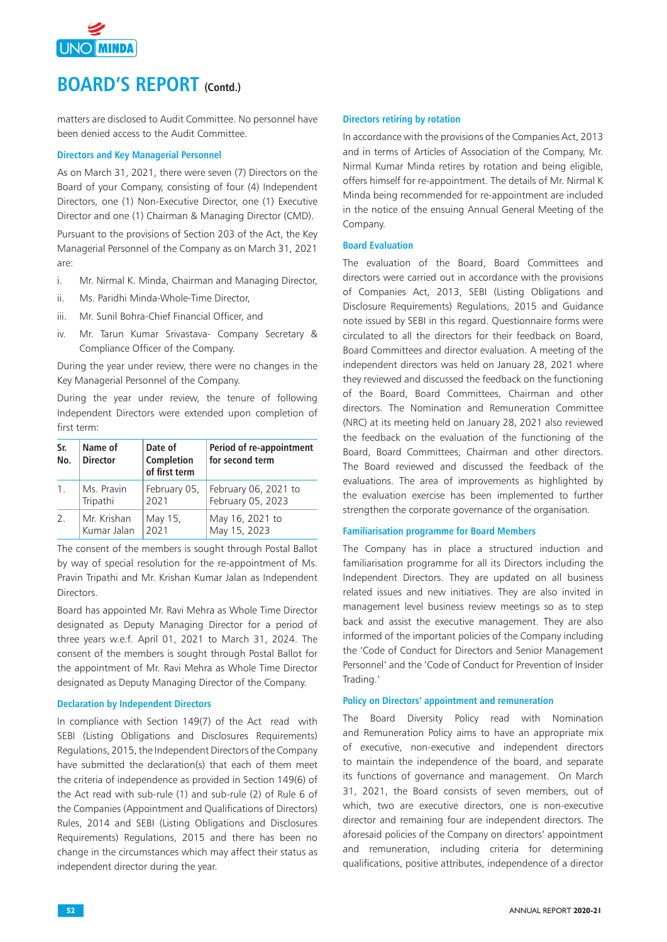

matters are disclosed to Audit Committee. No personnel have been denied access to the Audit Committee.

## **Directors and Key Managerial Personnel**

As on March 31, 2021, there were seven (7) Directors on the Board of your Company, consisting of four (4) Independent Directors, one (1) Non-Executive Director, one (1) Executive Director and one (1) Chairman & Managing Director (CMD).

Pursuant to the provisions of Section 203 of the Act, the Key Managerial Personnel of the Company as on March 31, 2021 are:

- i. Mr. Nirmal K. Minda, Chairman and Managing Director,
- ii. Ms. Paridhi Minda-Whole-Time Director,
- iii. Mr. Sunil Bohra-Chief Financial Officer, and
- iv. Mr. Tarun Kumar Srivastava- Company Secretary & Compliance Officer of the Company.

During the year under review, there were no changes in the Key Managerial Personnel of the Company.

During the year under review, the tenure of following Independent Directors were extended upon completion of first term:

| Sr.<br>No.            | Name of<br><b>Director</b> | Date of<br>Completion<br>of first term | Period of re-appointment<br>for second term |
|-----------------------|----------------------------|----------------------------------------|---------------------------------------------|
| 1 <sub>1</sub>        | Ms. Pravin                 | February 05,                           | February 06, 2021 to                        |
|                       | Tripathi                   | 2021                                   | February 05, 2023                           |
| $\mathcal{P}_{\cdot}$ | Mr. Krishan                | May 15,                                | May 16, 2021 to                             |
|                       | Kumar Jalan                | 2021                                   | May 15, 2023                                |

The consent of the members is sought through Postal Ballot by way of special resolution for the re-appointment of Ms. Pravin Tripathi and Mr. Krishan Kumar Jalan as Independent Directors.

Board has appointed Mr. Ravi Mehra as Whole Time Director designated as Deputy Managing Director for a period of three years w.e.f. April 01, 2021 to March 31, 2024. The consent of the members is sought through Postal Ballot for the appointment of Mr. Ravi Mehra as Whole Time Director designated as Deputy Managing Director of the Company.

# **Declaration by Independent Directors**

In compliance with Section 149(7) of the Act read with SEBI (Listing Obligations and Disclosures Requirements) Regulations, 2015, the Independent Directors of the Company have submitted the declaration(s) that each of them meet the criteria of independence as provided in Section 149(6) of the Act read with sub-rule (1) and sub-rule (2) of Rule 6 of the Companies (Appointment and Qualifications of Directors) Rules, 2014 and SEBI (Listing Obligations and Disclosures Requirements) Regulations, 2015 and there has been no change in the circumstances which may affect their status as independent director during the year.

#### **Directors retiring by rotation**

In accordance with the provisions of the Companies Act, 2013 and in terms of Articles of Association of the Company, Mr. Nirmal Kumar Minda retires by rotation and being eligible, offers himself for re-appointment. The details of Mr. Nirmal K Minda being recommended for re-appointment are included in the notice of the ensuing Annual General Meeting of the Company.

## **Board Evaluation**

The evaluation of the Board, Board Committees and directors were carried out in accordance with the provisions of Companies Act, 2013, SEBI (Listing Obligations and Disclosure Requirements) Regulations, 2015 and Guidance note issued by SEBI in this regard. Questionnaire forms were circulated to all the directors for their feedback on Board, Board Committees and director evaluation. A meeting of the independent directors was held on January 28, 2021 where they reviewed and discussed the feedback on the functioning of the Board, Board Committees, Chairman and other directors. The Nomination and Remuneration Committee (NRC) at its meeting held on January 28, 2021 also reviewed the feedback on the evaluation of the functioning of the Board, Board Committees, Chairman and other directors. The Board reviewed and discussed the feedback of the evaluations. The area of improvements as highlighted by the evaluation exercise has been implemented to further strengthen the corporate governance of the organisation.

## **Familiarisation programme for Board Members**

The Company has in place a structured induction and familiarisation programme for all its Directors including the Independent Directors. They are updated on all business related issues and new initiatives. They are also invited in management level business review meetings so as to step back and assist the executive management. They are also informed of the important policies of the Company including the 'Code of Conduct for Directors and Senior Management Personnel' and the 'Code of Conduct for Prevention of Insider Trading.'

### **Policy on Directors' appointment and remuneration**

The Board Diversity Policy read with Nomination and Remuneration Policy aims to have an appropriate mix of executive, non-executive and independent directors to maintain the independence of the board, and separate its functions of governance and management. On March 31, 2021, the Board consists of seven members, out of which, two are executive directors, one is non-executive director and remaining four are independent directors. The aforesaid policies of the Company on directors' appointment and remuneration, including criteria for determining qualifications, positive attributes, independence of a director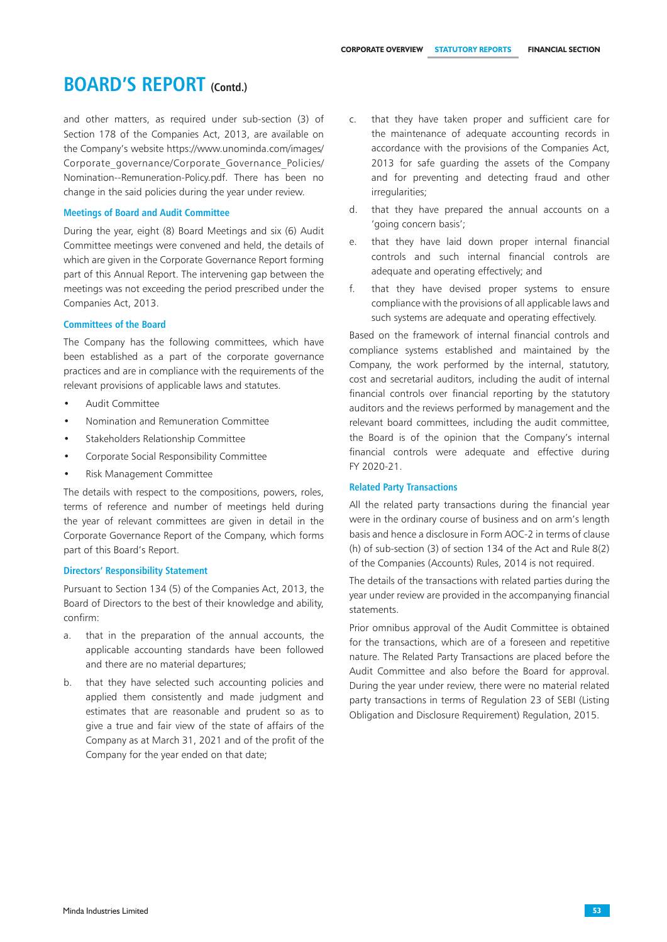and other matters, as required under sub-section (3) of Section 178 of the Companies Act, 2013, are available on the Company's website https://www.unominda.com/images/ Corporate governance/Corporate Governance Policies/ Nomination--Remuneration-Policy.pdf. There has been no change in the said policies during the year under review.

# **Meetings of Board and Audit Committee**

During the year, eight (8) Board Meetings and six (6) Audit Committee meetings were convened and held, the details of which are given in the Corporate Governance Report forming part of this Annual Report. The intervening gap between the meetings was not exceeding the period prescribed under the Companies Act, 2013.

## **Committees of the Board**

The Company has the following committees, which have been established as a part of the corporate governance practices and are in compliance with the requirements of the relevant provisions of applicable laws and statutes.

- Audit Committee
- Nomination and Remuneration Committee
- Stakeholders Relationship Committee
- Corporate Social Responsibility Committee
- Risk Management Committee

The details with respect to the compositions, powers, roles, terms of reference and number of meetings held during the year of relevant committees are given in detail in the Corporate Governance Report of the Company, which forms part of this Board's Report.

### **Directors' Responsibility Statement**

Pursuant to Section 134 (5) of the Companies Act, 2013, the Board of Directors to the best of their knowledge and ability, confirm:

- a. that in the preparation of the annual accounts, the applicable accounting standards have been followed and there are no material departures;
- b. that they have selected such accounting policies and applied them consistently and made judgment and estimates that are reasonable and prudent so as to give a true and fair view of the state of affairs of the Company as at March 31, 2021 and of the profit of the Company for the year ended on that date;
- c. that they have taken proper and sufficient care for the maintenance of adequate accounting records in accordance with the provisions of the Companies Act, 2013 for safe guarding the assets of the Company and for preventing and detecting fraud and other irregularities;
- d. that they have prepared the annual accounts on a 'going concern basis';
- e. that they have laid down proper internal financial controls and such internal financial controls are adequate and operating effectively; and
- f. that they have devised proper systems to ensure compliance with the provisions of all applicable laws and such systems are adequate and operating effectively.

Based on the framework of internal financial controls and compliance systems established and maintained by the Company, the work performed by the internal, statutory, cost and secretarial auditors, including the audit of internal financial controls over financial reporting by the statutory auditors and the reviews performed by management and the relevant board committees, including the audit committee, the Board is of the opinion that the Company's internal financial controls were adequate and effective during FY 2020-21.

# **Related Party Transactions**

All the related party transactions during the financial year were in the ordinary course of business and on arm's length basis and hence a disclosure in Form AOC-2 in terms of clause (h) of sub-section (3) of section 134 of the Act and Rule 8(2) of the Companies (Accounts) Rules, 2014 is not required.

The details of the transactions with related parties during the year under review are provided in the accompanying financial statements.

Prior omnibus approval of the Audit Committee is obtained for the transactions, which are of a foreseen and repetitive nature. The Related Party Transactions are placed before the Audit Committee and also before the Board for approval. During the year under review, there were no material related party transactions in terms of Regulation 23 of SEBI (Listing Obligation and Disclosure Requirement) Regulation, 2015.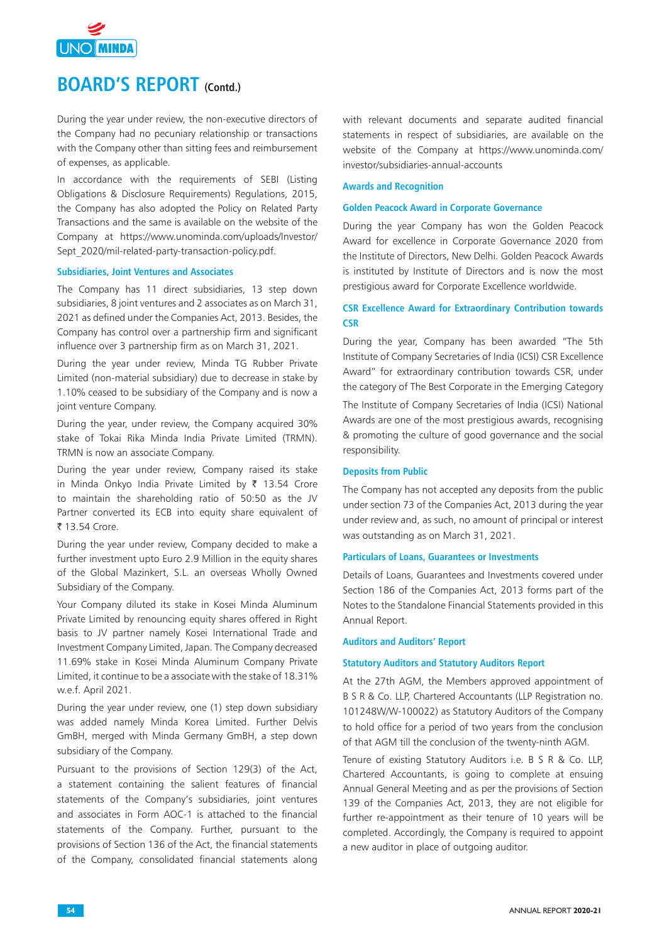

During the year under review, the non-executive directors of the Company had no pecuniary relationship or transactions with the Company other than sitting fees and reimbursement of expenses, as applicable.

In accordance with the requirements of SEBI (Listing Obligations & Disclosure Requirements) Regulations, 2015, the Company has also adopted the Policy on Related Party Transactions and the same is available on the website of the Company at https://www.unominda.com/uploads/Investor/ Sept\_2020/mil-related-party-transaction-policy.pdf.

#### **Subsidiaries, Joint Ventures and Associates**

The Company has 11 direct subsidiaries, 13 step down subsidiaries, 8 joint ventures and 2 associates as on March 31, 2021 as defined under the Companies Act, 2013. Besides, the Company has control over a partnership firm and significant influence over 3 partnership firm as on March 31, 2021.

During the year under review, Minda TG Rubber Private Limited (non-material subsidiary) due to decrease in stake by 1.10% ceased to be subsidiary of the Company and is now a joint venture Company.

During the year, under review, the Company acquired 30% stake of Tokai Rika Minda India Private Limited (TRMN). TRMN is now an associate Company.

During the year under review, Company raised its stake in Minda Onkyo India Private Limited by  $\bar{\tau}$  13.54 Crore to maintain the shareholding ratio of 50:50 as the JV Partner converted its ECB into equity share equivalent of ₹ 13.54 Crore.

During the year under review, Company decided to make a further investment upto Euro 2.9 Million in the equity shares of the Global Mazinkert, S.L. an overseas Wholly Owned Subsidiary of the Company.

Your Company diluted its stake in Kosei Minda Aluminum Private Limited by renouncing equity shares offered in Right basis to JV partner namely Kosei International Trade and Investment Company Limited, Japan. The Company decreased 11.69% stake in Kosei Minda Aluminum Company Private Limited, it continue to be a associate with the stake of 18.31% w.e.f. April 2021.

During the year under review, one (1) step down subsidiary was added namely Minda Korea Limited. Further Delvis GmBH, merged with Minda Germany GmBH, a step down subsidiary of the Company.

Pursuant to the provisions of Section 129(3) of the Act, a statement containing the salient features of financial statements of the Company's subsidiaries, joint ventures and associates in Form AOC-1 is attached to the financial statements of the Company. Further, pursuant to the provisions of Section 136 of the Act, the financial statements of the Company, consolidated financial statements along

with relevant documents and separate audited financial statements in respect of subsidiaries, are available on the website of the Company at https://www.unominda.com/ investor/subsidiaries-annual-accounts

#### **Awards and Recognition**

#### **Golden Peacock Award in Corporate Governance**

During the year Company has won the Golden Peacock Award for excellence in Corporate Governance 2020 from the Institute of Directors, New Delhi. Golden Peacock Awards is instituted by Institute of Directors and is now the most prestigious award for Corporate Excellence worldwide.

# **CSR Excellence Award for Extraordinary Contribution towards CSR**

During the year, Company has been awarded "The 5th Institute of Company Secretaries of India (ICSI) CSR Excellence Award" for extraordinary contribution towards CSR, under the category of The Best Corporate in the Emerging Category

The Institute of Company Secretaries of India (ICSI) National Awards are one of the most prestigious awards, recognising & promoting the culture of good governance and the social responsibility.

# **Deposits from Public**

The Company has not accepted any deposits from the public under section 73 of the Companies Act, 2013 during the year under review and, as such, no amount of principal or interest was outstanding as on March 31, 2021.

# **Particulars of Loans, Guarantees or Investments**

Details of Loans, Guarantees and Investments covered under Section 186 of the Companies Act, 2013 forms part of the Notes to the Standalone Financial Statements provided in this Annual Report.

#### **Auditors and Auditors' Report**

#### **Statutory Auditors and Statutory Auditors Report**

At the 27th AGM, the Members approved appointment of B S R & Co. LLP, Chartered Accountants (LLP Registration no. 101248W/W-100022) as Statutory Auditors of the Company to hold office for a period of two years from the conclusion of that AGM till the conclusion of the twenty-ninth AGM.

Tenure of existing Statutory Auditors i.e. B S R & Co. LLP, Chartered Accountants, is going to complete at ensuing Annual General Meeting and as per the provisions of Section 139 of the Companies Act, 2013, they are not eligible for further re-appointment as their tenure of 10 years will be completed. Accordingly, the Company is required to appoint a new auditor in place of outgoing auditor.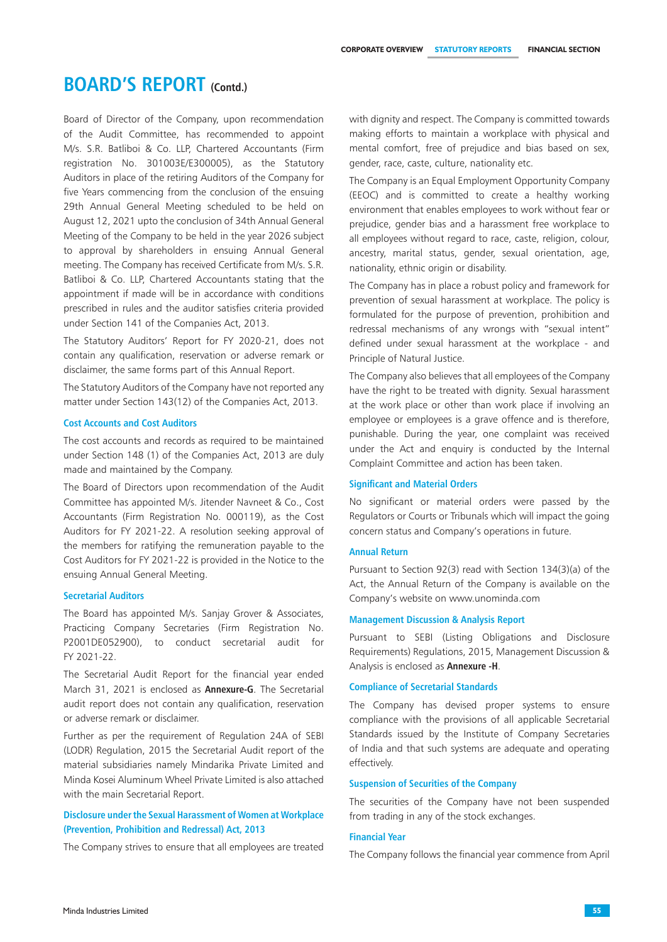Board of Director of the Company, upon recommendation of the Audit Committee, has recommended to appoint M/s. S.R. Batliboi & Co. LLP, Chartered Accountants (Firm registration No. 301003E/E300005), as the Statutory Auditors in place of the retiring Auditors of the Company for five Years commencing from the conclusion of the ensuing 29th Annual General Meeting scheduled to be held on August 12, 2021 upto the conclusion of 34th Annual General Meeting of the Company to be held in the year 2026 subject to approval by shareholders in ensuing Annual General meeting. The Company has received Certificate from M/s. S.R. Batliboi & Co. LLP, Chartered Accountants stating that the appointment if made will be in accordance with conditions prescribed in rules and the auditor satisfies criteria provided under Section 141 of the Companies Act, 2013.

The Statutory Auditors' Report for FY 2020-21, does not contain any qualification, reservation or adverse remark or disclaimer, the same forms part of this Annual Report.

The Statutory Auditors of the Company have not reported any matter under Section 143(12) of the Companies Act, 2013.

## **Cost Accounts and Cost Auditors**

The cost accounts and records as required to be maintained under Section 148 (1) of the Companies Act, 2013 are duly made and maintained by the Company.

The Board of Directors upon recommendation of the Audit Committee has appointed M/s. Jitender Navneet & Co., Cost Accountants (Firm Registration No. 000119), as the Cost Auditors for FY 2021-22. A resolution seeking approval of the members for ratifying the remuneration payable to the Cost Auditors for FY 2021-22 is provided in the Notice to the ensuing Annual General Meeting.

#### **Secretarial Auditors**

The Board has appointed M/s. Sanjay Grover & Associates, Practicing Company Secretaries (Firm Registration No. P2001DE052900), to conduct secretarial audit for FY 2021-22.

The Secretarial Audit Report for the financial year ended March 31, 2021 is enclosed as **Annexure-G**. The Secretarial audit report does not contain any qualification, reservation or adverse remark or disclaimer.

Further as per the requirement of Regulation 24A of SEBI (LODR) Regulation, 2015 the Secretarial Audit report of the material subsidiaries namely Mindarika Private Limited and Minda Kosei Aluminum Wheel Private Limited is also attached with the main Secretarial Report.

# **Disclosure under the Sexual Harassment of Women at Workplace (Prevention, Prohibition and Redressal) Act, 2013**

The Company strives to ensure that all employees are treated

with dignity and respect. The Company is committed towards making efforts to maintain a workplace with physical and mental comfort, free of prejudice and bias based on sex, gender, race, caste, culture, nationality etc.

The Company is an Equal Employment Opportunity Company (EEOC) and is committed to create a healthy working environment that enables employees to work without fear or prejudice, gender bias and a harassment free workplace to all employees without regard to race, caste, religion, colour, ancestry, marital status, gender, sexual orientation, age, nationality, ethnic origin or disability.

The Company has in place a robust policy and framework for prevention of sexual harassment at workplace. The policy is formulated for the purpose of prevention, prohibition and redressal mechanisms of any wrongs with "sexual intent" defined under sexual harassment at the workplace - and Principle of Natural Justice.

The Company also believes that all employees of the Company have the right to be treated with dignity. Sexual harassment at the work place or other than work place if involving an employee or employees is a grave offence and is therefore, punishable. During the year, one complaint was received under the Act and enquiry is conducted by the Internal Complaint Committee and action has been taken.

# **Significant and Material Orders**

No significant or material orders were passed by the Regulators or Courts or Tribunals which will impact the going concern status and Company's operations in future.

## **Annual Return**

Pursuant to Section 92(3) read with Section 134(3)(a) of the Act, the Annual Return of the Company is available on the Company's website on www.unominda.com

# **Management Discussion & Analysis Report**

Pursuant to SEBI (Listing Obligations and Disclosure Requirements) Regulations, 2015, Management Discussion & Analysis is enclosed as **Annexure -H**.

#### **Compliance of Secretarial Standards**

The Company has devised proper systems to ensure compliance with the provisions of all applicable Secretarial Standards issued by the Institute of Company Secretaries of India and that such systems are adequate and operating effectively.

# **Suspension of Securities of the Company**

The securities of the Company have not been suspended from trading in any of the stock exchanges.

#### **Financial Year**

The Company follows the financial year commence from April